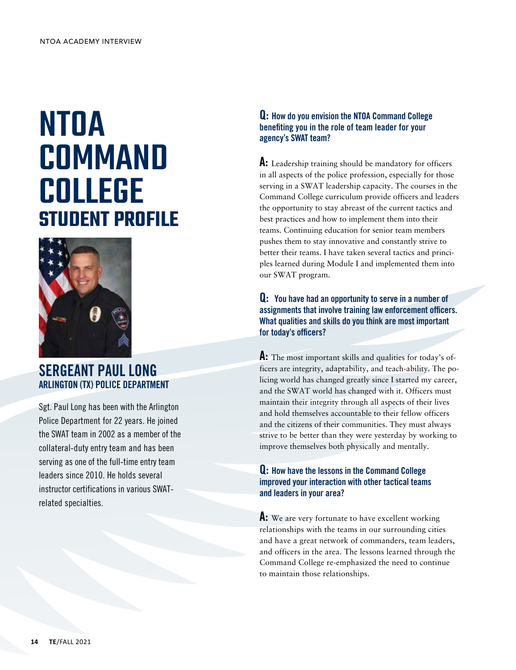# NTOA COMMAND COLLEGE **STUDENT PROFILE**



## **SERGEANT PAUL LONG ARLINGTON (TX) POLICE DEPARTMENT**

Sgt. Paul Long has been with the Arlington Police Department for 22 years. He joined the SWAT team in 2002 as a member of the collateral-duty entry team and has been serving as one of the full-time entry team leaders since 2010. He holds several instructor certifications in various SWATrelated specialties.

#### **Q: How do you envision the NTOA Command College benefiting you in the role of team leader for your agency's SWAT team?**

**A:** Leadership training should be mandatory for officers in all aspects of the police profession, especially for those serving in a SWAT leadership capacity. The courses in the Command College curriculum provide officers and leaders the opportunity to stay abreast of the current tactics and best practices and how to implement them into their teams. Continuing education for senior team members pushes them to stay innovative and constantly strive to better their teams. I have taken several tactics and principles learned during Module I and implemented them into our SWAT program.

**Q: You have had an opportunity to serve in a number of assignments that involve training law enforcement officers. What qualities and skills do you think are most important for today's officers?** 

**A:** The most important skills and qualities for today's officers are integrity, adaptability, and teach-ability. The policing world has changed greatly since I started my career, and the SWAT world has changed with it. Officers must maintain their integrity through all aspects of their lives and hold themselves accountable to their fellow officers and the citizens of their communities. They must always strive to be better than they were yesterday by working to improve themselves both physically and mentally.

#### **Q: How have the lessons in the Command College improved your interaction with other tactical teams and leaders in your area?**

A: We are very fortunate to have excellent working relationships with the teams in our surrounding cities and have a great network of commanders, team leaders, and officers in the area. The lessons learned through the Command College re-emphasized the need to continue to maintain those relationships.